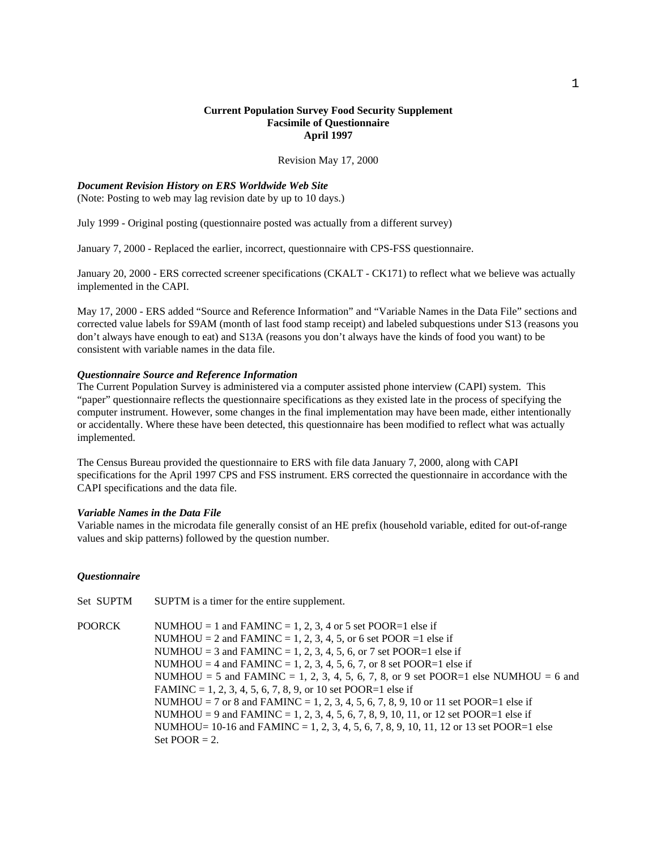# **Current Population Survey Food Security Supplement Facsimile of Questionnaire April 1997**

Revision May 17, 2000

#### *Document Revision History on ERS Worldwide Web Site*

(Note: Posting to web may lag revision date by up to 10 days.)

July 1999 - Original posting (questionnaire posted was actually from a different survey)

January 7, 2000 - Replaced the earlier, incorrect, questionnaire with CPS-FSS questionnaire.

January 20, 2000 - ERS corrected screener specifications (CKALT - CK171) to reflect what we believe was actually implemented in the CAPI.

May 17, 2000 - ERS added "Source and Reference Information" and "Variable Names in the Data File" sections and corrected value labels for S9AM (month of last food stamp receipt) and labeled subquestions under S13 (reasons you don't always have enough to eat) and S13A (reasons you don't always have the kinds of food you want) to be consistent with variable names in the data file.

### *Questionnaire Source and Reference Information*

The Current Population Survey is administered via a computer assisted phone interview (CAPI) system. This "paper" questionnaire reflects the questionnaire specifications as they existed late in the process of specifying the computer instrument. However, some changes in the final implementation may have been made, either intentionally or accidentally. Where these have been detected, this questionnaire has been modified to reflect what was actually implemented.

The Census Bureau provided the questionnaire to ERS with file data January 7, 2000, along with CAPI specifications for the April 1997 CPS and FSS instrument. ERS corrected the questionnaire in accordance with the CAPI specifications and the data file.

## *Variable Names in the Data File*

Variable names in the microdata file generally consist of an HE prefix (household variable, edited for out-of-range values and skip patterns) followed by the question number.

#### *Questionnaire*

Set SUPTM SUPTM is a timer for the entire supplement.

POORCK NUMHOU = 1 and FAMINC = 1, 2, 3, 4 or 5 set POOR=1 else if NUMHOU = 2 and FAMINC = 1, 2, 3, 4, 5, or 6 set POOR = 1 else if NUMHOU = 3 and FAMINC = 1, 2, 3, 4, 5, 6, or 7 set POOR=1 else if NUMHOU = 4 and FAMINC = 1, 2, 3, 4, 5, 6, 7, or 8 set POOR=1 else if NUMHOU = 5 and FAMINC = 1, 2, 3, 4, 5, 6, 7, 8, or 9 set POOR=1 else NUMHOU = 6 and FAMINC = 1, 2, 3, 4, 5, 6, 7, 8, 9, or 10 set POOR=1 else if NUMHOU = 7 or 8 and FAMINC = 1, 2, 3, 4, 5, 6, 7, 8, 9, 10 or 11 set POOR=1 else if NUMHOU = 9 and FAMINC = 1, 2, 3, 4, 5, 6, 7, 8, 9, 10, 11, or 12 set POOR=1 else if NUMHOU=  $10-16$  and FAMINC = 1, 2, 3, 4, 5, 6, 7, 8, 9, 10, 11, 12 or 13 set POOR=1 else Set  $POOR = 2$ .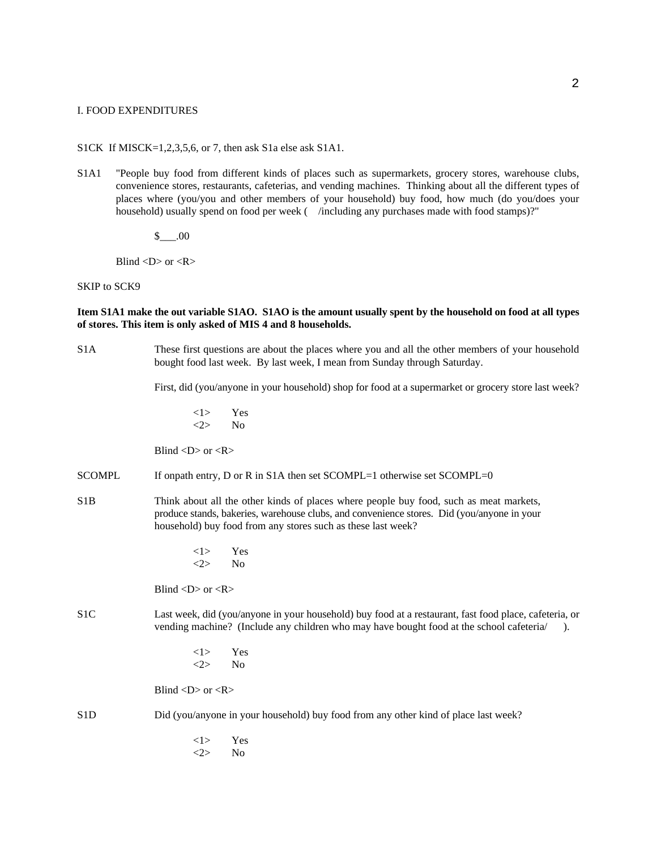#### I. FOOD EXPENDITURES

S1CK If MISCK=1,2,3,5,6, or 7, then ask S1a else ask S1A1.

S1A1 "People buy food from different kinds of places such as supermarkets, grocery stores, warehouse clubs, convenience stores, restaurants, cafeterias, and vending machines. Thinking about all the different types of places where (you/you and other members of your household) buy food, how much (do you/does your household) usually spend on food per week ( /including any purchases made with food stamps)?"

\$\_\_\_.00

Blind  $\langle D \rangle$  or  $\langle R \rangle$ 

SKIP to SCK9

**Item S1A1 make the out variable S1AO. S1AO is the amount usually spent by the household on food at all types of stores. This item is only asked of MIS 4 and 8 households.**

S1A These first questions are about the places where you and all the other members of your household bought food last week. By last week, I mean from Sunday through Saturday.

First, did (you/anyone in your household) shop for food at a supermarket or grocery store last week?

 $<1>$  Yes  $\langle 2 \rangle$  No

Blind  $\langle D \rangle$  or  $\langle R \rangle$ 

- SCOMPL If onpath entry, D or R in S1A then set SCOMPL=1 otherwise set SCOMPL=0
- S1B Think about all the other kinds of places where people buy food, such as meat markets, produce stands, bakeries, warehouse clubs, and convenience stores. Did (you/anyone in your household) buy food from any stores such as these last week?
	- <1> Yes  $\langle 2 \rangle$  No

Blind  $\langle D \rangle$  or  $\langle R \rangle$ 

- S1C Last week, did (you/anyone in your household) buy food at a restaurant, fast food place, cafeteria, or vending machine? (Include any children who may have bought food at the school cafeteria/).
	- <1> Yes <2> No

Blind  $\langle D \rangle$  or  $\langle R \rangle$ 

S1D Did (you/anyone in your household) buy food from any other kind of place last week?

<1> Yes <2> No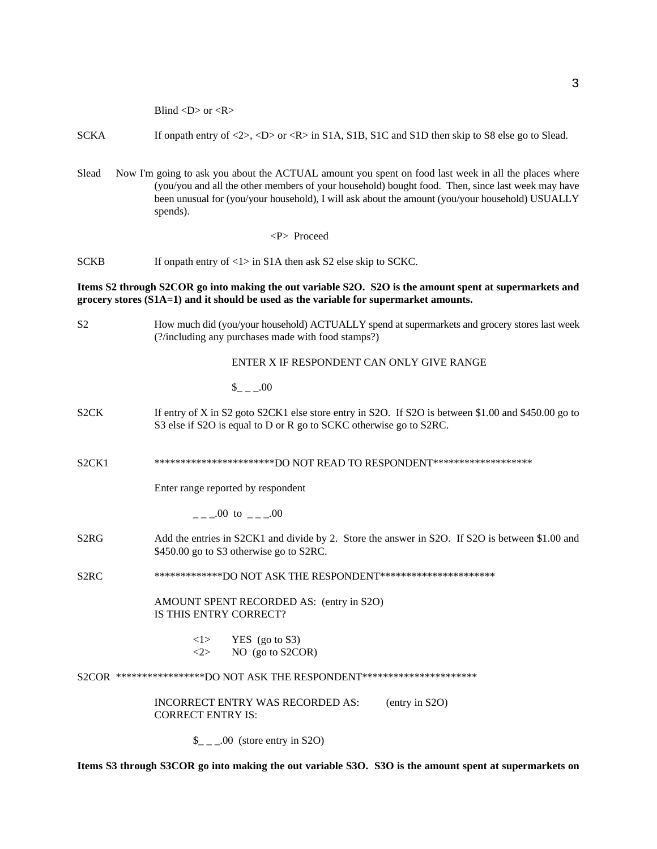Blind <D> or <R>

- SCKA If onpath entry of <2>, <D> or <R> in S1A, S1B, S1C and S1D then skip to S8 else go to Slead.
- Slead Now I'm going to ask you about the ACTUAL amount you spent on food last week in all the places where (you/you and all the other members of your household) bought food. Then, since last week may have been unusual for (you/your household), I will ask about the amount (you/your household) USUALLY spends).

<P> Proceed

SCKB If onpath entry of <1> in S1A then ask S2 else skip to SCKC.

## **Items S2 through S2COR go into making the out variable S2O. S2O is the amount spent at supermarkets and grocery stores (S1A=1) and it should be used as the variable for supermarket amounts.**

S2 How much did (you/your household) ACTUALLY spend at supermarkets and grocery stores last week (?/including any purchases made with food stamps?)

#### ENTER X IF RESPONDENT CAN ONLY GIVE RANGE

- $$-.00$
- S2CK If entry of X in S2 goto S2CK1 else store entry in S2O. If S2O is between \$1.00 and \$450.00 go to S3 else if S2O is equal to D or R go to SCKC otherwise go to S2RC.

S2CK1 \*\*\*\*\*\*\*\*\*\*\*\*\*\*\*\*\*\*\*\*\*\*\*\*\*DO NOT READ TO RESPONDENT\*\*\*\*\*\*\*\*\*\*\*\*\*\*\*\*\*\*\*

Enter range reported by respondent

 $=-00$  to  $=-00$ 

S2RG Add the entries in S2CK1 and divide by 2. Store the answer in S2O. If S2O is between \$1.00 and \$450.00 go to S3 otherwise go to S2RC.

S2RC \*\*\*\*\*\*\*\*\*\*\*\*\*\*DO NOT ASK THE RESPONDENT\*\*\*\*\*\*\*\*\*\*\*\*\*\*\*\*\*\*\*\*\*\*\*

AMOUNT SPENT RECORDED AS: (entry in S2O) IS THIS ENTRY CORRECT?

> $\langle$ 1> YES (go to S3)  $\langle 2 \rangle$  NO (go to S2COR)

S2COR \*\*\*\*\*\*\*\*\*\*\*\*\*\*\*\*\*\*DO NOT ASK THE RESPONDENT\*\*\*\*\*\*\*\*\*\*\*\*\*\*\*\*\*\*\*\*\*\*\*\*

INCORRECT ENTRY WAS RECORDED AS: (entry in S2O) CORRECT ENTRY IS:

 $\frac{1}{2}$  \_ \_00 (store entry in S2O)

**Items S3 through S3COR go into making the out variable S3O. S3O is the amount spent at supermarkets on**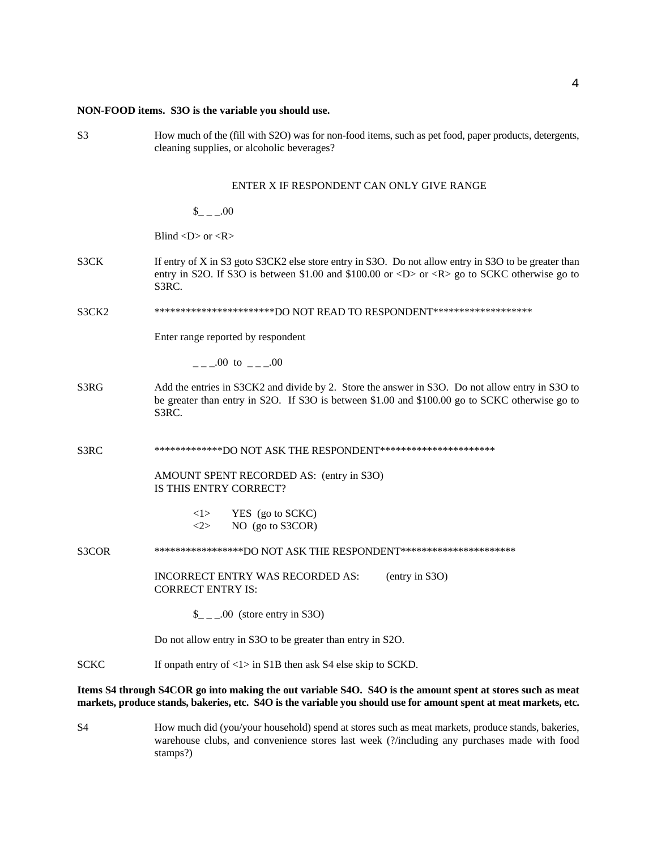# **NON-FOOD items. S3O is the variable you should use.**

| S <sub>3</sub><br>How much of the (fill with S2O) was for non-food items, such as pet food, paper products, detergents,<br>cleaning supplies, or alcoholic beverages? |                                                                                                                                                                                                                                            |  |  |
|-----------------------------------------------------------------------------------------------------------------------------------------------------------------------|--------------------------------------------------------------------------------------------------------------------------------------------------------------------------------------------------------------------------------------------|--|--|
|                                                                                                                                                                       | ENTER X IF RESPONDENT CAN ONLY GIVE RANGE                                                                                                                                                                                                  |  |  |
|                                                                                                                                                                       | $_{--.00}$                                                                                                                                                                                                                                 |  |  |
|                                                                                                                                                                       | Blind $\langle D \rangle$ or $\langle R \rangle$                                                                                                                                                                                           |  |  |
| S3CK                                                                                                                                                                  | If entry of X in S3 goto S3CK2 else store entry in S3O. Do not allow entry in S3O to be greater than<br>entry in S2O. If S3O is between \$1.00 and \$100.00 or <d> or <r> <math>\alpha</math> sp to SCKC otherwise go to<br/>S3RC.</r></d> |  |  |
| S3CK2                                                                                                                                                                 | ***********************DO NOT READ TO RESPONDENT*******************                                                                                                                                                                        |  |  |
|                                                                                                                                                                       | Enter range reported by respondent                                                                                                                                                                                                         |  |  |
|                                                                                                                                                                       | $_{-\, -}$ .00 to $_{-\, -}$ .00                                                                                                                                                                                                           |  |  |
| S3RG                                                                                                                                                                  | Add the entries in S3CK2 and divide by 2. Store the answer in S3O. Do not allow entry in S3O to<br>be greater than entry in S2O. If S3O is between \$1.00 and \$100.00 go to SCKC otherwise go to<br>S3RC.                                 |  |  |
| S3RC                                                                                                                                                                  | **************DO NOT ASK THE RESPONDENT***********************                                                                                                                                                                             |  |  |
|                                                                                                                                                                       | AMOUNT SPENT RECORDED AS: (entry in S3O)<br>IS THIS ENTRY CORRECT?                                                                                                                                                                         |  |  |
|                                                                                                                                                                       | YES (go to SCKC)<br><1><br>NO (go to S3COR)<br>$\langle 2 \rangle$                                                                                                                                                                         |  |  |
| S3COR                                                                                                                                                                 | ******************DO NOT ASK THE RESPONDENT***********************                                                                                                                                                                         |  |  |
|                                                                                                                                                                       | INCORRECT ENTRY WAS RECORDED AS:<br>(entry in S3O)<br><b>CORRECT ENTRY IS:</b>                                                                                                                                                             |  |  |
|                                                                                                                                                                       | $\_{$ _ _ .00 (store entry in S3O)                                                                                                                                                                                                         |  |  |
|                                                                                                                                                                       | Do not allow entry in S3O to be greater than entry in S2O.                                                                                                                                                                                 |  |  |
| <b>SCKC</b>                                                                                                                                                           | If onpath entry of $\langle 1 \rangle$ in S1B then ask S4 else skip to SCKD.                                                                                                                                                               |  |  |
|                                                                                                                                                                       | Items S4 through S4COR go into making the out variable S4O. S4O is the amount spent at stores such as meat<br>markets, produce stands, bakeries, etc. S4O is the variable you should use for amount spent at meat markets, etc.            |  |  |

S4 How much did (you/your household) spend at stores such as meat markets, produce stands, bakeries, warehouse clubs, and convenience stores last week (?/including any purchases made with food stamps?)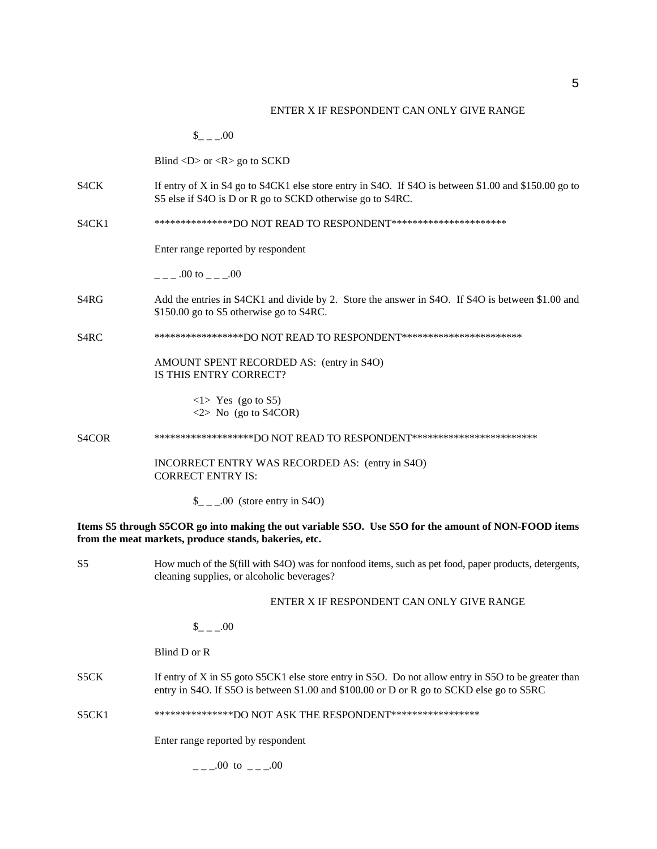#### ENTER X IF RESPONDENT CAN ONLY GIVE RANGE

 $_{- -1.00}$ Blind  $\langle D \rangle$  or  $\langle R \rangle$  go to SCKD S4CK If entry of X in S4 go to S4CK1 else store entry in S4O. If S4O is between \$1.00 and \$150.00 go to S5 else if S4O is D or R go to SCKD otherwise go to S4RC. S4CK1 \*\*\*\*\*\*\*\*\*\*\*\*\*\*\*\*\*\*DO NOT READ TO RESPONDENT\*\*\*\*\*\*\*\*\*\*\*\*\*\*\*\*\*\*\*\*\*\*\* Enter range reported by respondent  $.00 \text{ to } .00$ S4RG Add the entries in S4CK1 and divide by 2. Store the answer in S4O. If S4O is between \$1.00 and \$150.00 go to S5 otherwise go to S4RC. S4RC \*\*\*\*\*\*\*\*\*\*\*\*\*\*\*\*\*\*DO NOT READ TO RESPONDENT\*\*\*\*\*\*\*\*\*\*\*\*\*\*\*\*\*\*\*\*\*\*\* AMOUNT SPENT RECORDED AS: (entry in S4O) IS THIS ENTRY CORRECT?  $\langle$ 1> Yes (go to S5)  $\langle 2 \rangle$  No (go to S4COR) S4COR \*\*\*\*\*\*\*\*\*\*\*\*\*\*\*\*\*\*\*DO NOT READ TO RESPONDENT\*\*\*\*\*\*\*\*\*\*\*\*\*\*\*\*\*\*\*\*\*\*\*\* INCORRECT ENTRY WAS RECORDED AS: (entry in S4O) CORRECT ENTRY IS:  $\frac{\S_{-}}{\S_{-}}$ .00 (store entry in S4O) **Items S5 through S5COR go into making the out variable S5O. Use S5O for the amount of NON-FOOD items from the meat markets, produce stands, bakeries, etc.** S5 How much of the \$(fill with S4O) was for nonfood items, such as pet food, paper products, detergents, cleaning supplies, or alcoholic beverages?

### ENTER X IF RESPONDENT CAN ONLY GIVE RANGE

 $_{- -1.00}$ 

Blind D or R

S5CK If entry of X in S5 goto S5CK1 else store entry in S5O. Do not allow entry in S5O to be greater than entry in S4O. If S5O is between \$1.00 and \$100.00 or D or R go to SCKD else go to S5RC

S5CK1 \*\*\*\*\*\*\*\*\*\*\*\*\*\*DO NOT ASK THE RESPONDENT\*\*\*\*\*\*\*\*\*\*\*\*\*\*\*\*\*

Enter range reported by respondent

 $_{-\, -00}$  to  $_{-\, -00}$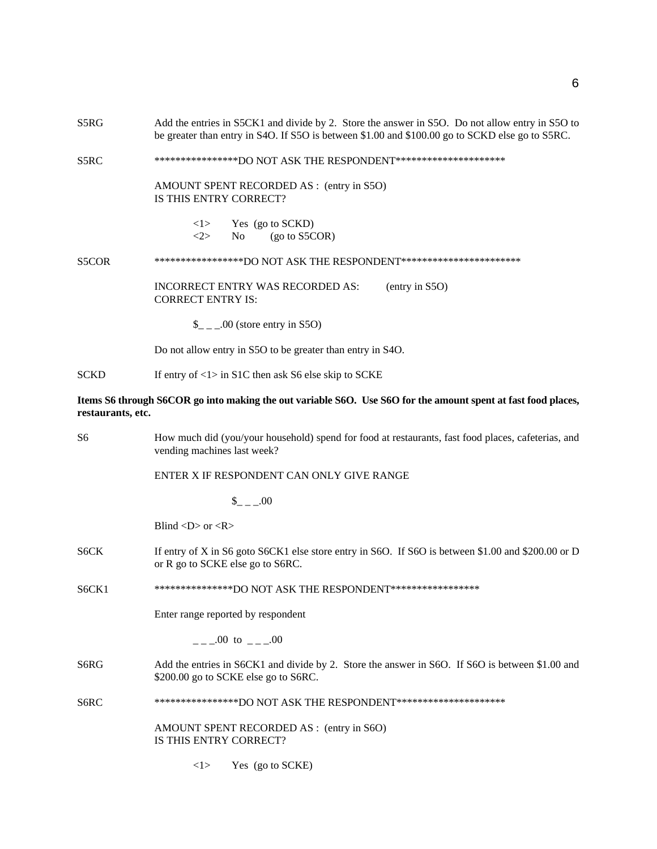| S5RG              | Add the entries in S5CK1 and divide by 2. Store the answer in S5O. Do not allow entry in S5O to<br>be greater than entry in S4O. If S5O is between \$1.00 and \$100.00 go to SCKD else go to S5RC. |  |  |
|-------------------|----------------------------------------------------------------------------------------------------------------------------------------------------------------------------------------------------|--|--|
| S5RC              | *****************DO NOT ASK THE RESPONDENT**********************                                                                                                                                   |  |  |
|                   | AMOUNT SPENT RECORDED AS : (entry in S5O)<br>IS THIS ENTRY CORRECT?                                                                                                                                |  |  |
|                   | < l ><br>Yes (go to SCKD)<br>No<br>(go to S5COR)<br>$<\!\!2\!\!>$                                                                                                                                  |  |  |
| S5COR             | ******************DO NOT ASK THE RESPONDENT***********************                                                                                                                                 |  |  |
|                   | INCORRECT ENTRY WAS RECORDED AS:<br>(entry in S5O)<br><b>CORRECT ENTRY IS:</b>                                                                                                                     |  |  |
|                   | $\_{$ _ _ .00 (store entry in S5O)                                                                                                                                                                 |  |  |
|                   | Do not allow entry in S5O to be greater than entry in S4O.                                                                                                                                         |  |  |
| SCKD              | If entry of $\langle 1 \rangle$ in S1C then ask S6 else skip to SCKE                                                                                                                               |  |  |
| restaurants, etc. | Items S6 through S6COR go into making the out variable S6O. Use S6O for the amount spent at fast food places,                                                                                      |  |  |
| S6                | How much did (you/your household) spend for food at restaurants, fast food places, cafeterias, and<br>vending machines last week?                                                                  |  |  |
|                   | ENTER X IF RESPONDENT CAN ONLY GIVE RANGE                                                                                                                                                          |  |  |
|                   | $_{--.00}$                                                                                                                                                                                         |  |  |
|                   | Blind $\langle D \rangle$ or $\langle R \rangle$                                                                                                                                                   |  |  |
| S6CK              | If entry of X in S6 goto S6CK1 else store entry in S6O. If S6O is between \$1.00 and \$200.00 or D<br>or R go to SCKE else go to S6RC.                                                             |  |  |
| S6CK1             | ****************DO NOT ASK THE RESPONDENT******************                                                                                                                                        |  |  |
|                   | Enter range reported by respondent                                                                                                                                                                 |  |  |
|                   | $_{---}00$ to $_{---}00$                                                                                                                                                                           |  |  |
| S6RG              | Add the entries in S6CK1 and divide by 2. Store the answer in S6O. If S6O is between \$1.00 and<br>\$200.00 go to SCKE else go to S6RC.                                                            |  |  |
| S6RC              | *****************DO NOT ASK THE RESPONDENT**********************                                                                                                                                   |  |  |
|                   | AMOUNT SPENT RECORDED AS : (entry in S6O)<br>IS THIS ENTRY CORRECT?                                                                                                                                |  |  |
|                   | Yes (go to SCKE)<br><1>                                                                                                                                                                            |  |  |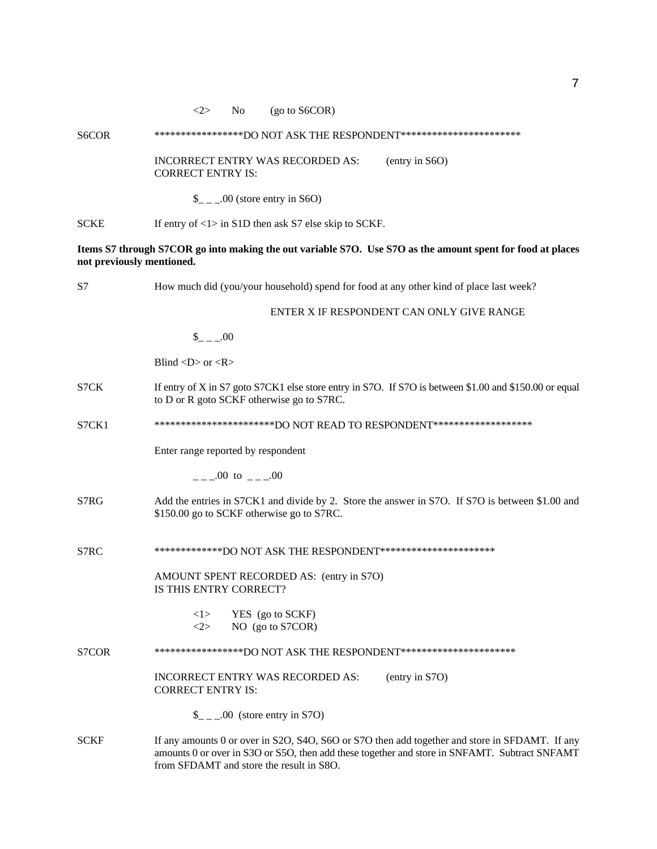# S6COR \*\*\*\*\*\*\*\*\*\*\*\*\*\*\*\*\*\*DO NOT ASK THE RESPONDENT\*\*\*\*\*\*\*\*\*\*\*\*\*\*\*\*\*\*\*\*\*\*\*\*\*

INCORRECT ENTRY WAS RECORDED AS: (entry in S6O) CORRECT ENTRY IS:

 $\_{$  \_ \_ \_.00 (store entry in S6O)

SCKE If entry of <1> in S1D then ask S7 else skip to SCKF.

**Items S7 through S7COR go into making the out variable S7O. Use S7O as the amount spent for food at places not previously mentioned.**

| S7          | How much did (you/your household) spend for food at any other kind of place last week?                                                                                                                                                      |  |  |  |
|-------------|---------------------------------------------------------------------------------------------------------------------------------------------------------------------------------------------------------------------------------------------|--|--|--|
|             | ENTER X IF RESPONDENT CAN ONLY GIVE RANGE                                                                                                                                                                                                   |  |  |  |
|             | $_{--.00}$                                                                                                                                                                                                                                  |  |  |  |
|             | Blind $\langle D \rangle$ or $\langle R \rangle$                                                                                                                                                                                            |  |  |  |
| S7CK        | If entry of X in S7 goto S7CK1 else store entry in S7O. If S7O is between \$1.00 and \$150.00 or equal<br>to D or R goto SCKF otherwise go to S7RC.                                                                                         |  |  |  |
| S7CK1       | ************************DO NOT READ TO RESPONDENT********************                                                                                                                                                                       |  |  |  |
|             | Enter range reported by respondent                                                                                                                                                                                                          |  |  |  |
|             | $=$ - $-$ 00 to - $-$ 00                                                                                                                                                                                                                    |  |  |  |
| S7RG        | Add the entries in S7CK1 and divide by 2. Store the answer in S7O. If S7O is between \$1.00 and<br>\$150.00 go to SCKF otherwise go to S7RC.                                                                                                |  |  |  |
| S7RC        | **************DO NOT ASK THE RESPONDENT***********************                                                                                                                                                                              |  |  |  |
|             | AMOUNT SPENT RECORDED AS: (entry in S7O)<br>IS THIS ENTRY CORRECT?                                                                                                                                                                          |  |  |  |
|             | YES (go to SCKF)<br>< l ><br>NO (go to S7COR)<br><2>                                                                                                                                                                                        |  |  |  |
| S7COR       | ******************DO NOT ASK THE RESPONDENT**********************                                                                                                                                                                           |  |  |  |
|             | INCORRECT ENTRY WAS RECORDED AS:<br>(entry in S7O)<br><b>CORRECT ENTRY IS:</b>                                                                                                                                                              |  |  |  |
|             | $\_{$ _ _ .00 (store entry in S7O)                                                                                                                                                                                                          |  |  |  |
| <b>SCKF</b> | If any amounts 0 or over in S2O, S4O, S6O or S7O then add together and store in SFDAMT. If any<br>amounts 0 or over in S3O or S5O, then add these together and store in SNFAMT. Subtract SNFAMT<br>from SFDAMT and store the result in S8O. |  |  |  |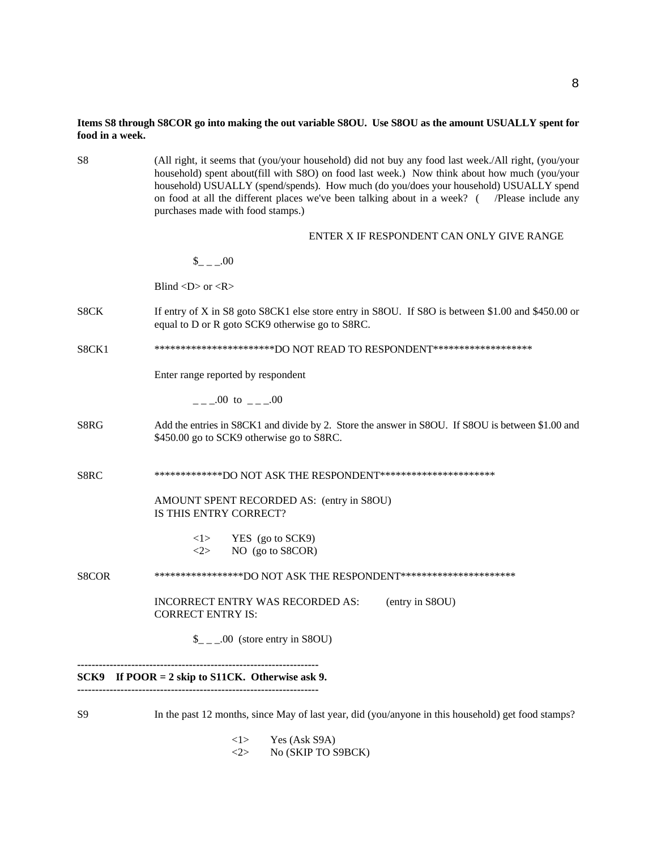# **Items S8 through S8COR go into making the out variable S8OU. Use S8OU as the amount USUALLY spent for food in a week.**

| S8             | (All right, it seems that (you/your household) did not buy any food last week./All right, (you/your<br>household) spent about(fill with S8O) on food last week.) Now think about how much (you/your<br>household) USUALLY (spend/spends). How much (do you/does your household) USUALLY spend<br>on food at all the different places we've been talking about in a week? ( /Please include any<br>purchases made with food stamps.) |  |  |  |  |
|----------------|-------------------------------------------------------------------------------------------------------------------------------------------------------------------------------------------------------------------------------------------------------------------------------------------------------------------------------------------------------------------------------------------------------------------------------------|--|--|--|--|
|                | ENTER X IF RESPONDENT CAN ONLY GIVE RANGE                                                                                                                                                                                                                                                                                                                                                                                           |  |  |  |  |
|                | $_{--.00}$                                                                                                                                                                                                                                                                                                                                                                                                                          |  |  |  |  |
|                | Blind $\langle D \rangle$ or $\langle R \rangle$                                                                                                                                                                                                                                                                                                                                                                                    |  |  |  |  |
| S8CK           | If entry of X in S8 goto S8CK1 else store entry in S8OU. If S8O is between \$1.00 and \$450.00 or<br>equal to D or R goto SCK9 otherwise go to S8RC.                                                                                                                                                                                                                                                                                |  |  |  |  |
| S8CK1          | ************************DO NOT READ TO RESPONDENT*******************                                                                                                                                                                                                                                                                                                                                                                |  |  |  |  |
|                | Enter range reported by respondent                                                                                                                                                                                                                                                                                                                                                                                                  |  |  |  |  |
|                | .00 to .00                                                                                                                                                                                                                                                                                                                                                                                                                          |  |  |  |  |
| S8RG           | Add the entries in S8CK1 and divide by 2. Store the answer in S8OU. If S8OU is between \$1.00 and<br>\$450.00 go to SCK9 otherwise go to S8RC.                                                                                                                                                                                                                                                                                      |  |  |  |  |
| S8RC           | **************DO NOT ASK THE RESPONDENT***********************                                                                                                                                                                                                                                                                                                                                                                      |  |  |  |  |
|                | AMOUNT SPENT RECORDED AS: (entry in S8OU)<br>IS THIS ENTRY CORRECT?                                                                                                                                                                                                                                                                                                                                                                 |  |  |  |  |
|                | YES (go to SCK9)<br><1><br>NO (go to S8COR)<br><2>                                                                                                                                                                                                                                                                                                                                                                                  |  |  |  |  |
| S8COR          | ******************DO NOT ASK THE RESPONDENT***********************                                                                                                                                                                                                                                                                                                                                                                  |  |  |  |  |
|                | <b>INCORRECT ENTRY WAS RECORDED AS:</b><br>(entry in S8OU)<br><b>CORRECT ENTRY IS:</b>                                                                                                                                                                                                                                                                                                                                              |  |  |  |  |
|                | $\_{$ _ _ .00 (store entry in S8OU)                                                                                                                                                                                                                                                                                                                                                                                                 |  |  |  |  |
| SCK9           | If $POOR = 2$ skip to S11CK. Otherwise ask 9.                                                                                                                                                                                                                                                                                                                                                                                       |  |  |  |  |
| S <sub>9</sub> | In the past 12 months, since May of last year, did (you/anyone in this household) get food stamps?                                                                                                                                                                                                                                                                                                                                  |  |  |  |  |

 $\langle 1 \rangle$  Yes (Ask S9A)<br> $\langle 2 \rangle$  No (SKIP TO S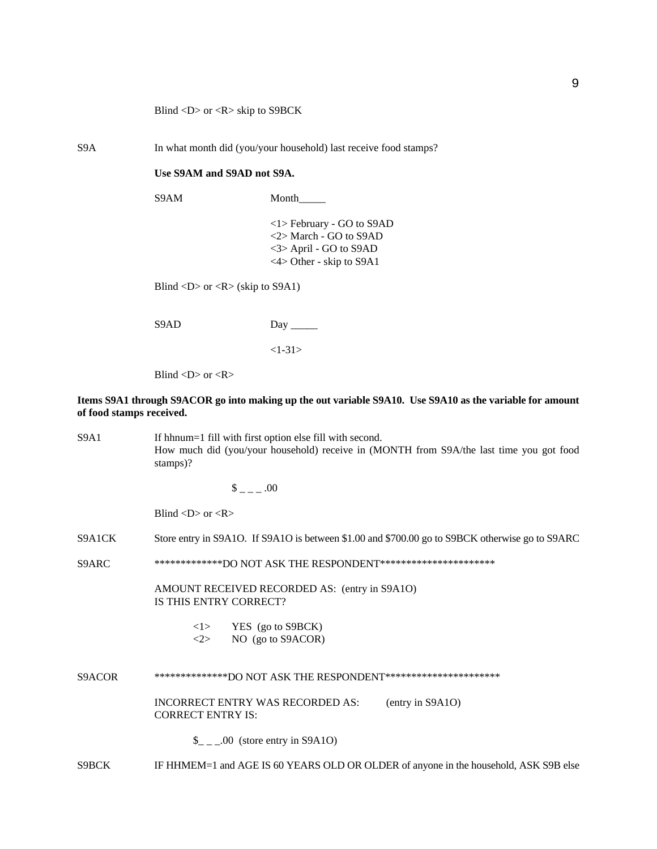Blind <D> or <R> skip to S9BCK

S9A In what month did (you/your household) last receive food stamps?

### **Use S9AM and S9AD not S9A.**

S9AM Month

<1> February - GO to S9AD <2> March - GO to S9AD <3> April - GO to S9AD <4> Other - skip to S9A1

Blind  $\langle D \rangle$  or  $\langle R \rangle$  (skip to S9A1)

S9AD Day \_\_\_\_\_

 $<1-31>$ 

Blind  $\langle D \rangle$  or  $\langle R \rangle$ 

# **Items S9A1 through S9ACOR go into making up the out variable S9A10. Use S9A10 as the variable for amount of food stamps received.**

S9A1 If hhnum=1 fill with first option else fill with second. How much did (you/your household) receive in (MONTH from S9A/the last time you got food stamps)?

 $\frac{\$}{\$}$  =  $-$  .00

Blind  $\langle D \rangle$  or  $\langle R \rangle$ 

S9A1CK Store entry in S9A1O. If S9A1O is between \$1.00 and \$700.00 go to S9BCK otherwise go to S9ARC

S9ARC \*\*\*\*\*\*\*\*\*\*\*\*\*\*DO NOT ASK THE RESPONDENT\*\*\*\*\*\*\*\*\*\*\*\*\*\*\*\*\*\*\*\*\*\*\*

AMOUNT RECEIVED RECORDED AS: (entry in S9A1O) IS THIS ENTRY CORRECT?

| $<$ l $>$ | YES (go to S9BCK) |
|-----------|-------------------|
|           |                   |

<2> NO (go to S9ACOR)

S9ACOR \*\*\*\*\*\*\*\*\*\*\*\*\*\*DO NOT ASK THE RESPONDENT\*\*\*\*\*\*\*\*\*\*\*\*\*\*\*\*\*\*\*\*\*\*

INCORRECT ENTRY WAS RECORDED AS: (entry in S9A1O) CORRECT ENTRY IS:

 $\_{$   $\_\_$   $\_\_$  00 (store entry in S9A1O)

S9BCK IF HHMEM=1 and AGE IS 60 YEARS OLD OR OLDER of anyone in the household, ASK S9B else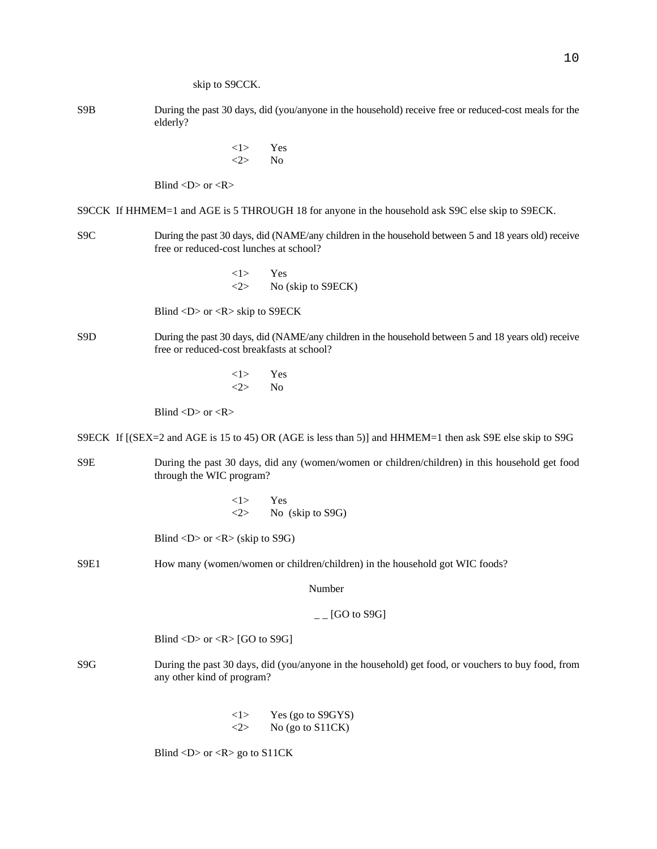- S9B During the past 30 days, did (you/anyone in the household) receive free or reduced-cost meals for the elderly?
	- <1> Yes <2> No

Blind  $\langle D \rangle$  or  $\langle R \rangle$ 

- S9CCK If HHMEM=1 and AGE is 5 THROUGH 18 for anyone in the household ask S9C else skip to S9ECK.
- S9C During the past 30 days, did (NAME/any children in the household between 5 and 18 years old) receive free or reduced-cost lunches at school?
	- <1> Yes  $\langle 2 \rangle$  No (skip to S9ECK)

Blind <D> or <R> skip to S9ECK

- S9D During the past 30 days, did (NAME/any children in the household between 5 and 18 years old) receive free or reduced-cost breakfasts at school?
	- <1> Yes  $\langle 2 \rangle$  No

Blind  $\langle D \rangle$  or  $\langle R \rangle$ 

S9ECK If [(SEX=2 and AGE is 15 to 45) OR (AGE is less than 5)] and HHMEM=1 then ask S9E else skip to S9G

- S9E During the past 30 days, did any (women/women or children/children) in this household get food through the WIC program?
	- <1> Yes <2> No (skip to S9G)

Blind  $\langle D \rangle$  or  $\langle R \rangle$  (skip to S9G)

S9E1 How many (women/women or children/children) in the household got WIC foods?

Number

# $_{--}$  [GO to S9G]

Blind  $\langle D \rangle$  or  $\langle R \rangle$  [GO to S9G]

- S9G During the past 30 days, did (you/anyone in the household) get food, or vouchers to buy food, from any other kind of program?
	- $\langle$ 1> Yes (go to S9GYS)  $\langle 2 \rangle$  No (go to S11CK)

Blind  $\langle D \rangle$  or  $\langle R \rangle$  go to S11CK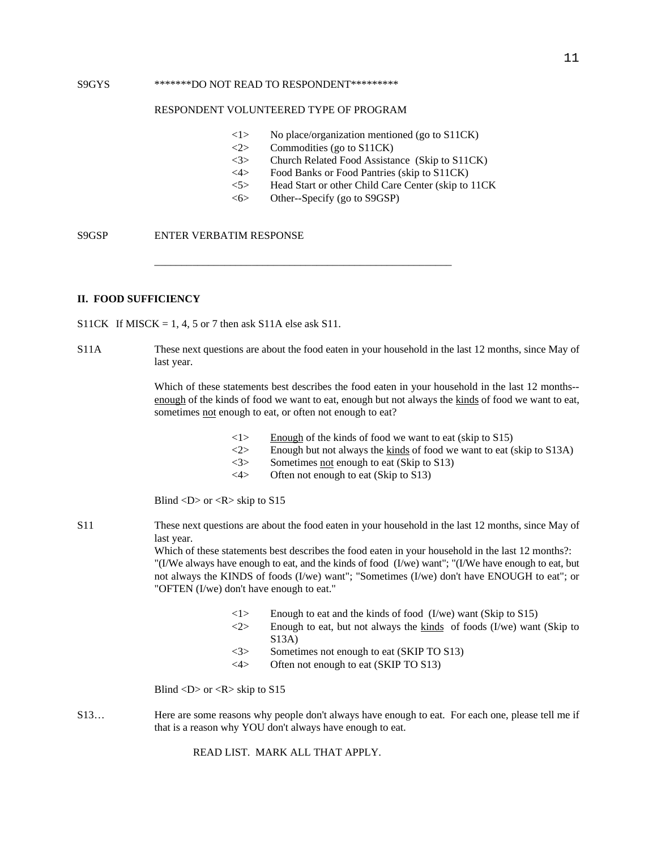#### S9GYS \*\*\*\*\*\*\*\*DO NOT READ TO RESPONDENT\*\*\*\*\*\*\*\*\*

#### RESPONDENT VOLUNTEERED TYPE OF PROGRAM

- <1> No place/organization mentioned (go to S11CK)
- <2> Commodities (go to S11CK)
- <3> Church Related Food Assistance (Skip to S11CK)
- <4> Food Banks or Food Pantries (skip to S11CK)
- <5> Head Start or other Child Care Center (skip to 11CK
- <6> Other--Specify (go to S9GSP)

\_\_\_\_\_\_\_\_\_\_\_\_\_\_\_\_\_\_\_\_\_\_\_\_\_\_\_\_\_\_\_\_\_\_\_\_\_\_\_\_\_\_\_\_\_\_\_\_\_\_\_\_\_\_\_

S9GSP ENTER VERBATIM RESPONSE

# **II. FOOD SUFFICIENCY**

S11CK If MISCK = 1, 4, 5 or 7 then ask S11A else ask S11.

S11A These next questions are about the food eaten in your household in the last 12 months, since May of last year.

> Which of these statements best describes the food eaten in your household in the last 12 months- enough of the kinds of food we want to eat, enough but not always the kinds of food we want to eat, sometimes not enough to eat, or often not enough to eat?

- $\langle 1 \rangle$  Enough of the kinds of food we want to eat (skip to S15)
- $\langle 2 \rangle$  Enough but not always the kinds of food we want to eat (skip to S13A)
- $\langle 3 \rangle$  Sometimes not enough to eat (Skip to S13)
- $\langle 4 \rangle$  Often not enough to eat (Skip to S13)

Blind  $\langle D \rangle$  or  $\langle R \rangle$  skip to S15

S11 These next questions are about the food eaten in your household in the last 12 months, since May of last year.

> Which of these statements best describes the food eaten in your household in the last 12 months?: "(I/We always have enough to eat, and the kinds of food (I/we) want"; "(I/We have enough to eat, but not always the KINDS of foods (I/we) want"; "Sometimes (I/we) don't have ENOUGH to eat"; or "OFTEN (I/we) don't have enough to eat."

- $\langle$ 1> Enough to eat and the kinds of food (I/we) want (Skip to S15)
- $\langle 2 \rangle$  Enough to eat, but not always the kinds of foods (I/we) want (Skip to S13A)
- <3> Sometimes not enough to eat (SKIP TO S13)
- <4> Often not enough to eat (SKIP TO S13)

Blind  $\langle D \rangle$  or  $\langle R \rangle$  skip to S15

S13… Here are some reasons why people don't always have enough to eat. For each one, please tell me if that is a reason why YOU don't always have enough to eat.

READ LIST. MARK ALL THAT APPLY.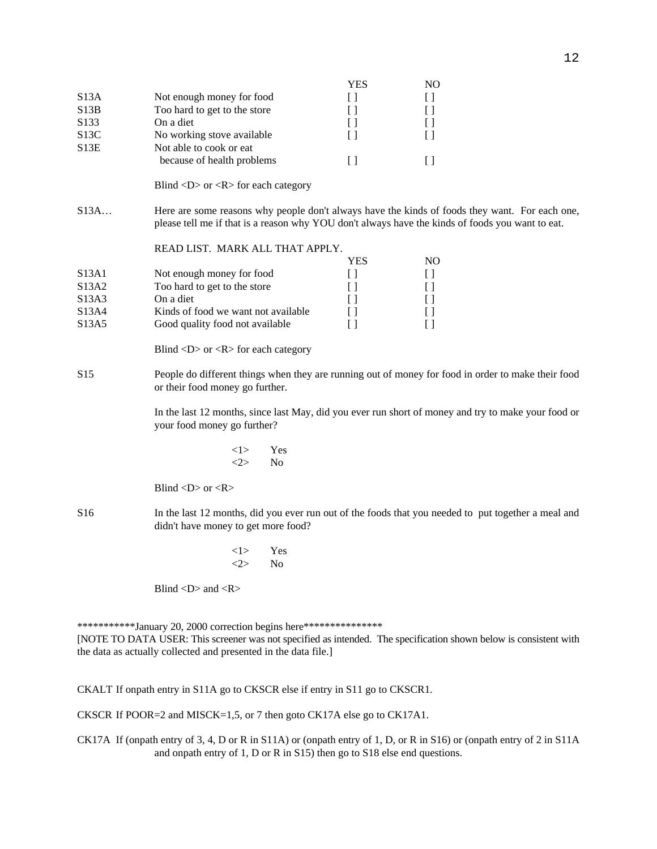|                  |                              | YES | NО |
|------------------|------------------------------|-----|----|
| S13A             | Not enough money for food    |     |    |
| S13B             | Too hard to get to the store |     |    |
| S <sub>133</sub> | On a diet                    |     |    |
| S13C             | No working stove available   |     |    |
| S13E             | Not able to cook or eat.     |     |    |
|                  | because of health problems   |     |    |

Blind <D> or <R> for each category

S13A… Here are some reasons why people don't always have the kinds of foods they want. For each one, please tell me if that is a reason why YOU don't always have the kinds of foods you want to eat.

# READ LIST. MARK ALL THAT APPLY.

|       |                                     | YES | NO |
|-------|-------------------------------------|-----|----|
| S13A1 | Not enough money for food           |     |    |
| S13A2 | Too hard to get to the store        |     |    |
| S13A3 | On a diet                           |     |    |
| S13A4 | Kinds of food we want not available |     |    |
| S13A5 | Good quality food not available     |     |    |
|       |                                     |     |    |

Blind  $\langle D \rangle$  or  $\langle R \rangle$  for each category

S15 People do different things when they are running out of money for food in order to make their food or their food money go further.

> In the last 12 months, since last May, did you ever run short of money and try to make your food or your food money go further?

> > <1> Yes  $\langle 2 \rangle$  No

Blind  $\langle D \rangle$  or  $\langle R \rangle$ 

- S16 In the last 12 months, did you ever run out of the foods that you needed to put together a meal and didn't have money to get more food?
	- <1> Yes  $\langle 2 \rangle$  No

Blind  $\langle D \rangle$  and  $\langle R \rangle$ 

\*\*\*\*\*\*\*\*\*\*\*\*January 20, 2000 correction begins here\*\*\*\*\*\*\*\*\*\*\*\*\*\*\*

[NOTE TO DATA USER: This screener was not specified as intended. The specification shown below is consistent with the data as actually collected and presented in the data file.]

CKALT If onpath entry in S11A go to CKSCR else if entry in S11 go to CKSCR1.

CKSCR If POOR=2 and MISCK=1,5, or 7 then goto CK17A else go to CK17A1.

CK17A If (onpath entry of 3, 4, D or R in S11A) or (onpath entry of 1, D, or R in S16) or (onpath entry of 2 in S11A and onpath entry of 1, D or R in S15) then go to S18 else end questions.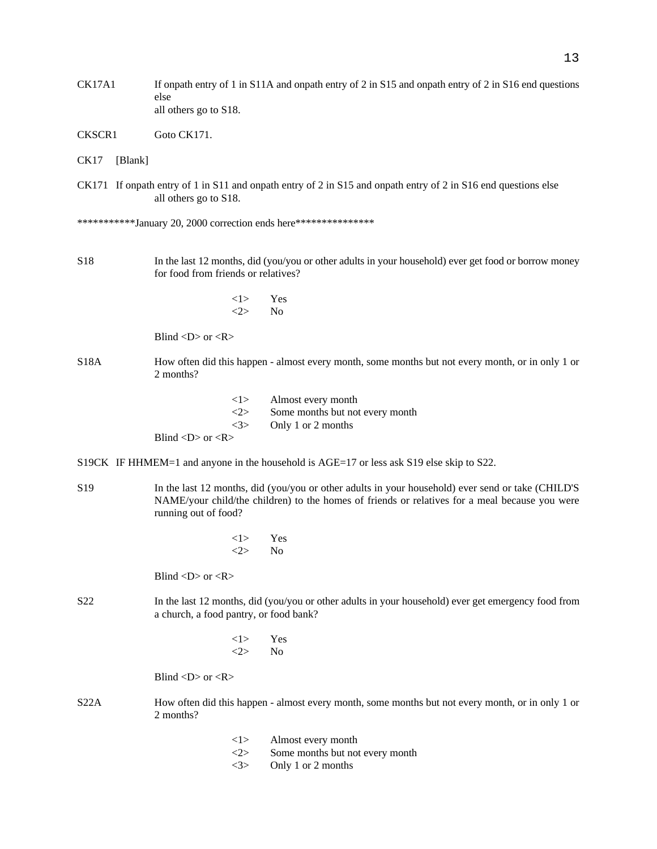- CK17A1 If onpath entry of 1 in S11A and onpath entry of 2 in S15 and onpath entry of 2 in S16 end questions else all others go to S18.
- CKSCR1 Goto CK171.
- CK17 [Blank]
- CK171 If onpath entry of 1 in S11 and onpath entry of 2 in S15 and onpath entry of 2 in S16 end questions else all others go to S18.

\*\*\*\*\*\*\*\*\*\*\*January 20, 2000 correction ends here\*\*\*\*\*\*\*\*\*\*\*\*\*\*\*

- S18 In the last 12 months, did (you/you or other adults in your household) ever get food or borrow money for food from friends or relatives?
	- <1> Yes  $\langle 2 \rangle$  No

Blind  $\langle D \rangle$  or  $\langle R \rangle$ 

- S18A How often did this happen almost every month, some months but not every month, or in only 1 or 2 months?
	- <1> Almost every month <2> Some months but not every month <3> Only 1 or 2 months Blind  $\langle D \rangle$  or  $\langle R \rangle$
- S19CK IF HHMEM=1 and anyone in the household is AGE=17 or less ask S19 else skip to S22.
- S19 In the last 12 months, did (you/you or other adults in your household) ever send or take (CHILD'S NAME/your child/the children) to the homes of friends or relatives for a meal because you were running out of food?
	- <1> Yes  $\langle 2 \rangle$  No

Blind  $\langle D \rangle$  or  $\langle R \rangle$ 

- S22 In the last 12 months, did (you/you or other adults in your household) ever get emergency food from a church, a food pantry, or food bank?
	- <1> Yes  $\langle 2 \rangle$  No

Blind  $\langle D \rangle$  or  $\langle R \rangle$ 

- S22A How often did this happen almost every month, some months but not every month, or in only 1 or 2 months?
	- <1> Almost every month
	- <2> Some months but not every month
	- <3> Only 1 or 2 months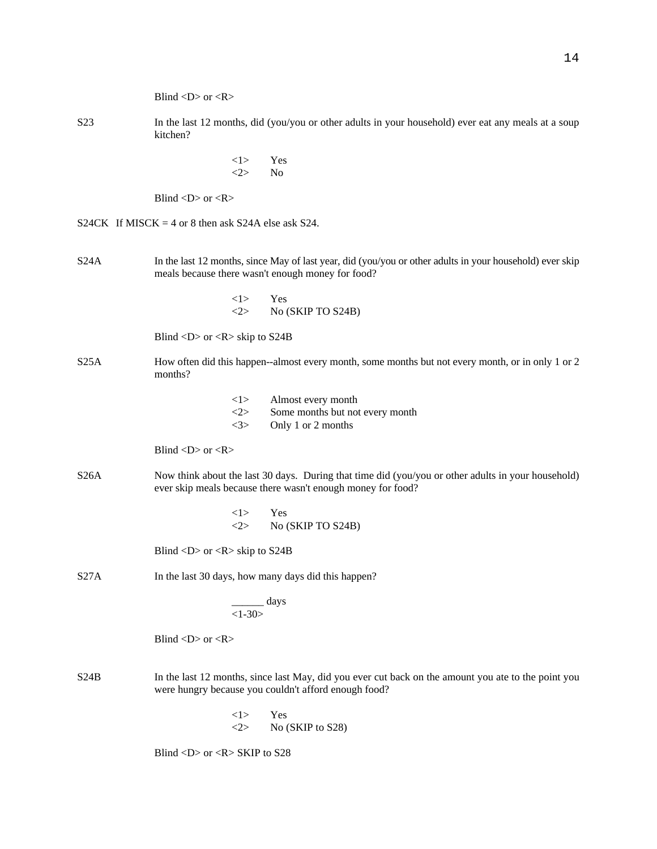|                  | Blind < $D$ > or < $R$ >                                                                                                                                          |
|------------------|-------------------------------------------------------------------------------------------------------------------------------------------------------------------|
| S <sub>2</sub> 3 | In the last 12 months, did (you/you or other adults in your household) ever eat any meals at a soup<br>kitchen?                                                   |
|                  | <1><br>Yes<br><2><br>No                                                                                                                                           |
|                  | Blind < $D$ > or < $R$ >                                                                                                                                          |
|                  | S24CK If MISCK = 4 or 8 then ask S24A else ask S24.                                                                                                               |
| S24A             | In the last 12 months, since May of last year, did (you/you or other adults in your household) ever skip<br>meals because there wasn't enough money for food?     |
|                  | <1><br>Yes<br><2><br>No (SKIP TO S24B)                                                                                                                            |
|                  | Blind $\langle D \rangle$ or $\langle R \rangle$ skip to S24B                                                                                                     |
| S25A             | How often did this happen--almost every month, some months but not every month, or in only 1 or 2<br>months?                                                      |
|                  | Almost every month<br>< l ><br><2><br>Some months but not every month<br><3><br>Only 1 or 2 months                                                                |
|                  | Blind $\langle D \rangle$ or $\langle R \rangle$                                                                                                                  |
| S26A             | Now think about the last 30 days. During that time did (you/you or other adults in your household)<br>ever skip meals because there wasn't enough money for food? |
|                  | Yes<br><1><br>No (SKIP TO S24B)<br><2>                                                                                                                            |
|                  | Blind <d> or <r> skip to <math>S24B</math></r></d>                                                                                                                |
| S27A             | In the last 30 days, how many days did this happen?                                                                                                               |
|                  | $\frac{days}{1-30>}$                                                                                                                                              |
|                  | Blind < $D$ > or < $R$ >                                                                                                                                          |
| S24B             | In the last 12 months, since last May, did you ever cut back on the amount you ate to the point you<br>were hungry because you couldn't afford enough food?       |
|                  | Yes<br><1><br><2><br>No (SKIP to S28)                                                                                                                             |

Blind <D> or <R> SKIP to S28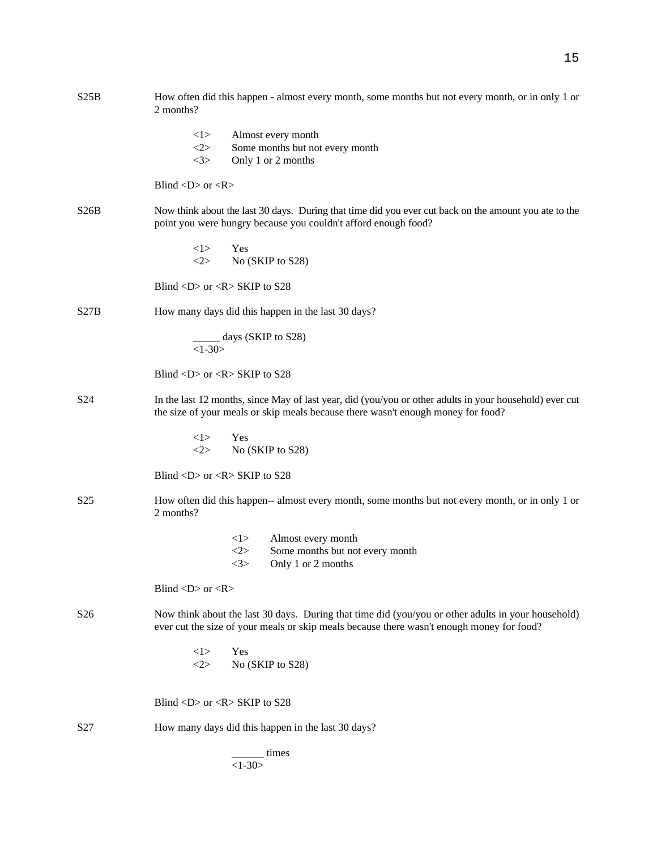| S25B            | How often did this happen - almost every month, some months but not every month, or in only 1 or<br>2 months?                                                                                   |  |  |  |
|-----------------|-------------------------------------------------------------------------------------------------------------------------------------------------------------------------------------------------|--|--|--|
|                 | <1><br>Almost every month<br><2><br>Some months but not every month<br><3><br>Only 1 or 2 months                                                                                                |  |  |  |
|                 | Blind < $D$ > or < $R$ >                                                                                                                                                                        |  |  |  |
| S26B            | Now think about the last 30 days. During that time did you ever cut back on the amount you ate to the<br>point you were hungry because you couldn't afford enough food?                         |  |  |  |
|                 | < l ><br>Yes<br><2><br>No (SKIP to S28)                                                                                                                                                         |  |  |  |
|                 | Blind <d> or <r> SKIP to <math>S28</math></r></d>                                                                                                                                               |  |  |  |
| S27B            | How many days did this happen in the last 30 days?                                                                                                                                              |  |  |  |
|                 | _____ days (SKIP to S28)<br>$<1-30>$                                                                                                                                                            |  |  |  |
|                 | Blind $\langle D \rangle$ or $\langle R \rangle$ SKIP to S28                                                                                                                                    |  |  |  |
| S <sub>24</sub> | In the last 12 months, since May of last year, did (you/you or other adults in your household) ever cut<br>the size of your meals or skip meals because there wasn't enough money for food?     |  |  |  |
|                 | 1><br>Yes<br><2><br>No (SKIP to S28)                                                                                                                                                            |  |  |  |
|                 | Blind <d> or <r> SKIP to <math>S28</math></r></d>                                                                                                                                               |  |  |  |
| S <sub>25</sub> | How often did this happen-- almost every month, some months but not every month, or in only 1 or<br>2 months?                                                                                   |  |  |  |
|                 | <1><br>Almost every month<br><2><br>Some months but not every month<br>3><br>Only 1 or 2 months                                                                                                 |  |  |  |
|                 | Blind < $D$ > or < $R$ >                                                                                                                                                                        |  |  |  |
| S <sub>26</sub> | Now think about the last 30 days. During that time did (you/you or other adults in your household)<br>ever cut the size of your meals or skip meals because there wasn't enough money for food? |  |  |  |
|                 | Yes<br><1><br>No (SKIP to S28)<br><2>                                                                                                                                                           |  |  |  |
|                 | Blind <d> or <r> SKIP to <math>S28</math></r></d>                                                                                                                                               |  |  |  |
| S <sub>27</sub> | How many days did this happen in the last 30 days?                                                                                                                                              |  |  |  |
|                 | times<br>$<1-30>$                                                                                                                                                                               |  |  |  |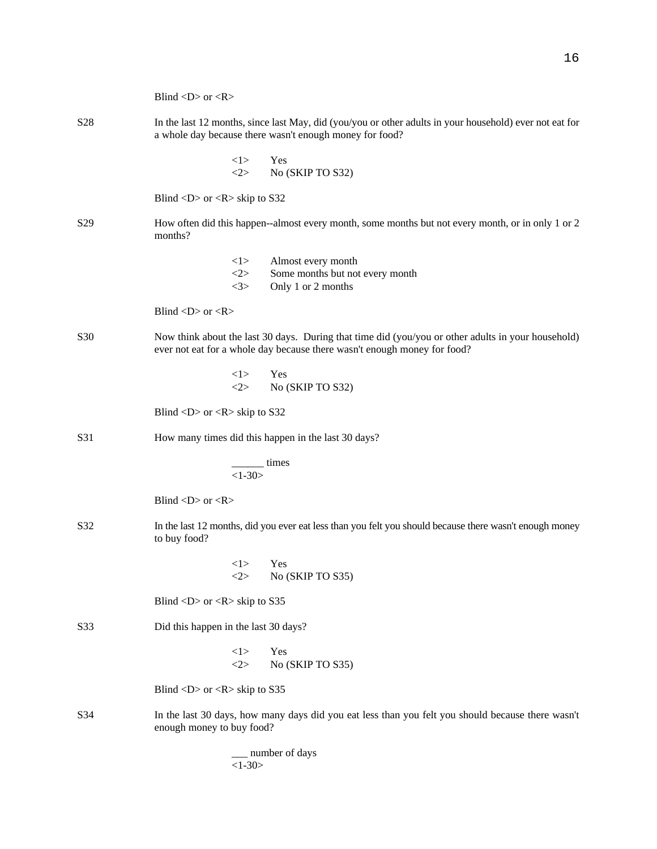|                 | Blind < $D$ > or < $R$ >                                                                                                                                                       |  |  |
|-----------------|--------------------------------------------------------------------------------------------------------------------------------------------------------------------------------|--|--|
| S <sub>28</sub> | In the last 12 months, since last May, did (you/you or other adults in your household) ever not eat for<br>a whole day because there wasn't enough money for food?             |  |  |
|                 | 1><br>Yes<br><2><br>No (SKIP TO S32)                                                                                                                                           |  |  |
|                 | Blind $\langle D \rangle$ or $\langle R \rangle$ skip to S32                                                                                                                   |  |  |
| S <sub>29</sub> | How often did this happen--almost every month, some months but not every month, or in only 1 or 2<br>months?                                                                   |  |  |
|                 | <1><br>Almost every month<br>2><br>Some months but not every month<br><3><br>Only 1 or 2 months                                                                                |  |  |
|                 | Blind $\langle D \rangle$ or $\langle R \rangle$                                                                                                                               |  |  |
| <b>S30</b>      | Now think about the last 30 days. During that time did (you/you or other adults in your household)<br>ever not eat for a whole day because there wasn't enough money for food? |  |  |
|                 | <1><br>Yes<br><2><br>No (SKIP TO S32)                                                                                                                                          |  |  |
|                 | Blind $\langle D \rangle$ or $\langle R \rangle$ skip to S32                                                                                                                   |  |  |
| S31             | How many times did this happen in the last 30 days?                                                                                                                            |  |  |
|                 | $\frac{1}{1-30}$ times                                                                                                                                                         |  |  |
|                 | Blind $\langle D \rangle$ or $\langle R \rangle$                                                                                                                               |  |  |
| S32             | In the last 12 months, did you ever eat less than you felt you should because there wasn't enough money<br>to buy food?                                                        |  |  |
|                 | Yes<br><1><br><2><br>No (SKIP TO S35)                                                                                                                                          |  |  |
|                 | Blind $\langle D \rangle$ or $\langle R \rangle$ skip to S35                                                                                                                   |  |  |
| S33             | Did this happen in the last 30 days?                                                                                                                                           |  |  |
|                 | <1><br>Yes<br><2><br>No (SKIP TO S35)                                                                                                                                          |  |  |
|                 | Blind < $D$ > or < $R$ > skip to S35                                                                                                                                           |  |  |
| S34             | In the last 30 days, how many days did you eat less than you felt you should because there wasn't<br>enough money to buy food?                                                 |  |  |
|                 | number of days                                                                                                                                                                 |  |  |

 $\overline{1-30}$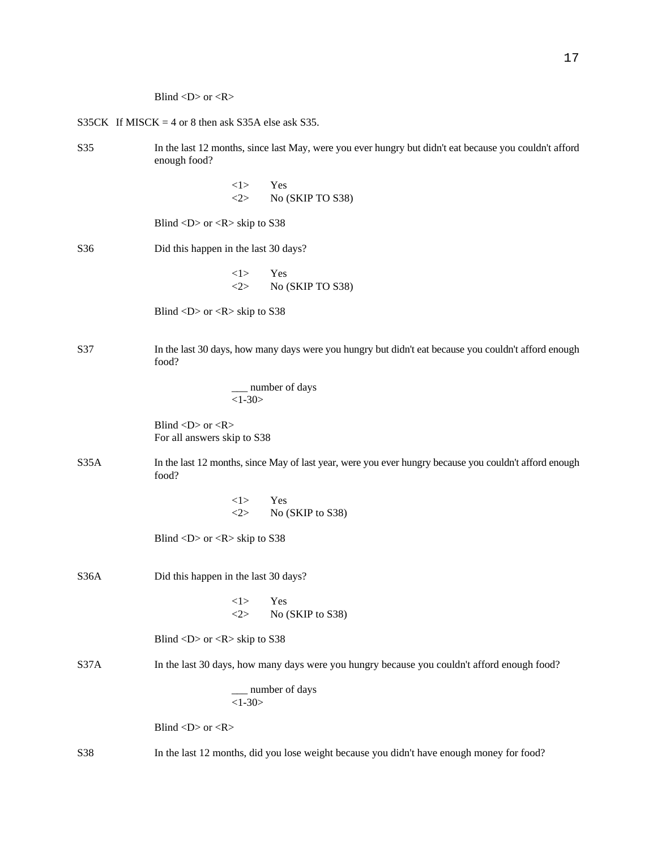Blind  $\langle D \rangle$  or  $\langle R \rangle$ 

|                 | S35CK If MISCK = 4 or 8 then ask S35A else ask S35.                                                                    |  |  |
|-----------------|------------------------------------------------------------------------------------------------------------------------|--|--|
| S35             | In the last 12 months, since last May, were you ever hungry but didn't eat because you couldn't afford<br>enough food? |  |  |
|                 | <1><br>Yes<br><2><br>No (SKIP TO S38)                                                                                  |  |  |
|                 | Blind <d> or <r> skip to <math>S38</math></r></d>                                                                      |  |  |
| S <sub>36</sub> | Did this happen in the last 30 days?                                                                                   |  |  |
|                 | <1><br>Yes<br><2><br>No (SKIP TO S38)                                                                                  |  |  |
|                 | Blind $\langle D \rangle$ or $\langle R \rangle$ skip to S38                                                           |  |  |
| S37             | In the last 30 days, how many days were you hungry but didn't eat because you couldn't afford enough<br>food?          |  |  |
|                 | _ number of days<br>$<1-30>$                                                                                           |  |  |
|                 | Blind < $D$ > or < $R$ ><br>For all answers skip to S38                                                                |  |  |
| S35A            | In the last 12 months, since May of last year, were you ever hungry because you couldn't afford enough<br>food?        |  |  |
|                 | <1><br>Yes<br>No (SKIP to S38)<br><2>                                                                                  |  |  |
|                 | Blind < $D$ > or < $R$ > skip to S38                                                                                   |  |  |
| S36A            | Did this happen in the last 30 days?                                                                                   |  |  |
|                 | <1><br>Yes<br>No (SKIP to S38)<br><2>                                                                                  |  |  |
|                 | Blind < $D$ > or < $R$ > skip to S38                                                                                   |  |  |
| S37A            | In the last 30 days, how many days were you hungry because you couldn't afford enough food?                            |  |  |
|                 | number of days<br>$<1-30>$                                                                                             |  |  |
|                 | Blind < $D$ > or < $R$ >                                                                                               |  |  |
| S38             | In the last 12 months, did you lose weight because you didn't have enough money for food?                              |  |  |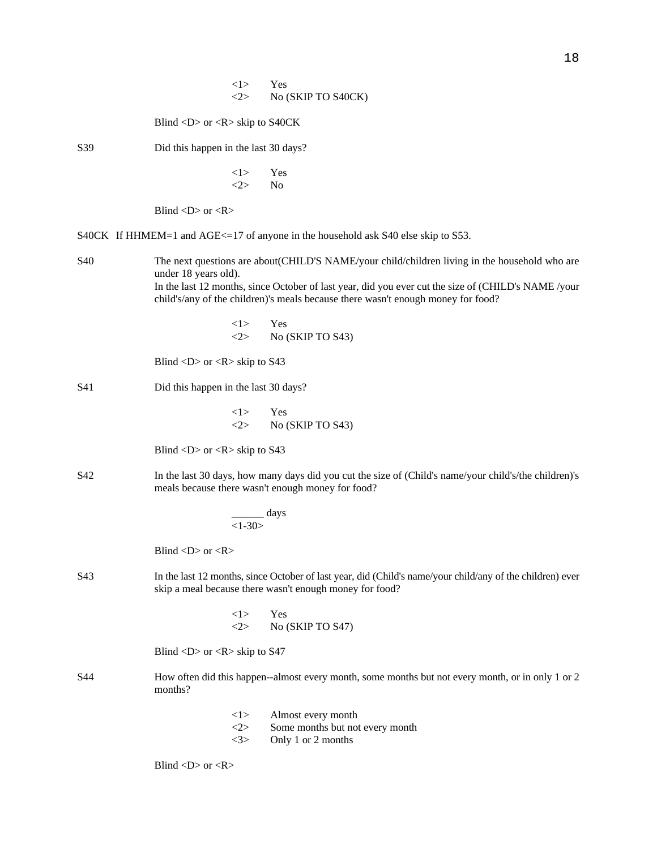|                                                                                                                                                                                                                                                                                                                         |                                                              | <1><br><2>       | Yes<br>No (SKIP TO S40CK)                                                                                                                                            |
|-------------------------------------------------------------------------------------------------------------------------------------------------------------------------------------------------------------------------------------------------------------------------------------------------------------------------|--------------------------------------------------------------|------------------|----------------------------------------------------------------------------------------------------------------------------------------------------------------------|
|                                                                                                                                                                                                                                                                                                                         | Blind <d> or <r> skip to S40CK</r></d>                       |                  |                                                                                                                                                                      |
| S39                                                                                                                                                                                                                                                                                                                     | Did this happen in the last 30 days?                         |                  |                                                                                                                                                                      |
|                                                                                                                                                                                                                                                                                                                         |                                                              | <1><br>2>        | Yes<br>No                                                                                                                                                            |
|                                                                                                                                                                                                                                                                                                                         | Blind < $D$ > or < $R$ >                                     |                  |                                                                                                                                                                      |
|                                                                                                                                                                                                                                                                                                                         |                                                              |                  | S40CK If HHMEM=1 and AGE<=17 of anyone in the household ask S40 else skip to S53.                                                                                    |
| S40<br>The next questions are about(CHILD'S NAME/your child/children living in the household who are<br>under 18 years old).<br>In the last 12 months, since October of last year, did you ever cut the size of (CHILD's NAME /your<br>child's/any of the children)'s meals because there wasn't enough money for food? |                                                              |                  |                                                                                                                                                                      |
|                                                                                                                                                                                                                                                                                                                         |                                                              | <1><br><2>       | Yes<br>No (SKIP TO S43)                                                                                                                                              |
|                                                                                                                                                                                                                                                                                                                         | Blind <d> or <r> skip to <math>S43</math></r></d>            |                  |                                                                                                                                                                      |
| S41                                                                                                                                                                                                                                                                                                                     | Did this happen in the last 30 days?                         |                  |                                                                                                                                                                      |
|                                                                                                                                                                                                                                                                                                                         |                                                              | <1><br><2>       | Yes<br>No (SKIP TO S43)                                                                                                                                              |
|                                                                                                                                                                                                                                                                                                                         | Blind $\langle D \rangle$ or $\langle R \rangle$ skip to S43 |                  |                                                                                                                                                                      |
| S42                                                                                                                                                                                                                                                                                                                     |                                                              |                  | In the last 30 days, how many days did you cut the size of (Child's name/your child's/the children)'s<br>meals because there wasn't enough money for food?           |
|                                                                                                                                                                                                                                                                                                                         |                                                              | $<1-30>$         | __ days                                                                                                                                                              |
|                                                                                                                                                                                                                                                                                                                         | Blind < $D$ > or < $R$ >                                     |                  |                                                                                                                                                                      |
| S43                                                                                                                                                                                                                                                                                                                     |                                                              |                  | In the last 12 months, since October of last year, did (Child's name/your child/any of the children) ever<br>skip a meal because there wasn't enough money for food? |
|                                                                                                                                                                                                                                                                                                                         |                                                              | <1><br><2>       | Yes<br>No (SKIP TO S47)                                                                                                                                              |
|                                                                                                                                                                                                                                                                                                                         | Blind <d> or <r> skip to <math>S47</math></r></d>            |                  |                                                                                                                                                                      |
| S44                                                                                                                                                                                                                                                                                                                     | months?                                                      |                  | How often did this happen--almost every month, some months but not every month, or in only 1 or 2                                                                    |
|                                                                                                                                                                                                                                                                                                                         |                                                              | 1><br><2><br><3> | Almost every month<br>Some months but not every month<br>Only 1 or 2 months                                                                                          |
|                                                                                                                                                                                                                                                                                                                         | Blind < $D$ > or < $R$ >                                     |                  |                                                                                                                                                                      |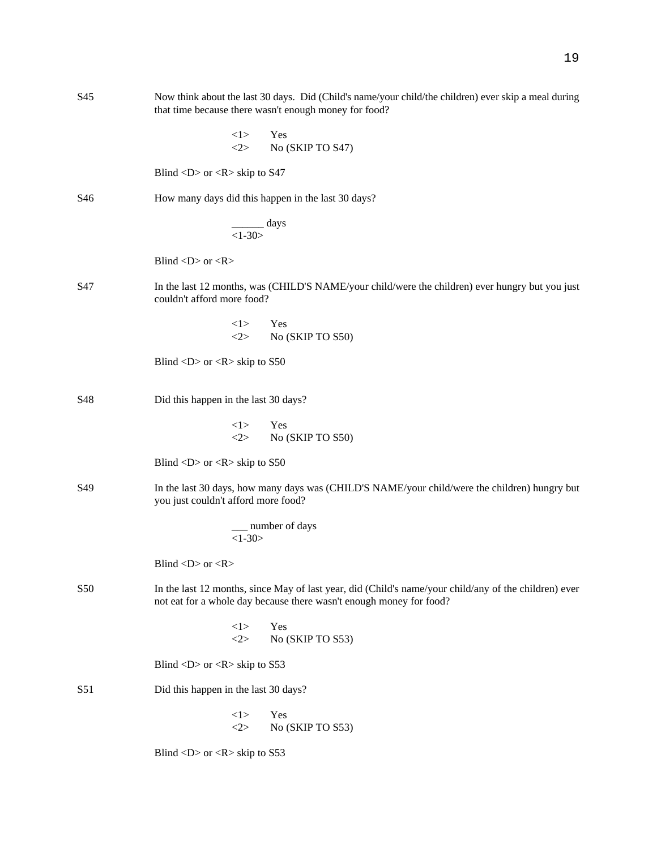| S45 | Now think about the last 30 days. Did (Child's name/your child/the children) ever skip a meal during<br>that time because there wasn't enough money for food?                |  |  |
|-----|------------------------------------------------------------------------------------------------------------------------------------------------------------------------------|--|--|
|     | 1><br>Yes<br>2><br>No (SKIP TO S47)                                                                                                                                          |  |  |
|     | Blind <d> or <r> skip to <math>S47</math></r></d>                                                                                                                            |  |  |
| S46 | How many days did this happen in the last 30 days?                                                                                                                           |  |  |
|     | $\frac{days}{1-30>}$                                                                                                                                                         |  |  |
|     | Blind < $D$ > or < $R$ >                                                                                                                                                     |  |  |
| S47 | In the last 12 months, was (CHILD'S NAME/your child/were the children) ever hungry but you just<br>couldn't afford more food?                                                |  |  |
|     | <1><br>Yes<br><2><br>No (SKIP TO S50)                                                                                                                                        |  |  |
|     | Blind <d> or <r> skip to <math>S50</math></r></d>                                                                                                                            |  |  |
| S48 | Did this happen in the last 30 days?                                                                                                                                         |  |  |
|     | 1><br>Yes<br>2><br>No (SKIP TO S50)                                                                                                                                          |  |  |
|     | Blind $\langle D \rangle$ or $\langle R \rangle$ skip to S50                                                                                                                 |  |  |
| S49 | In the last 30 days, how many days was (CHILD'S NAME/your child/were the children) hungry but<br>you just couldn't afford more food?                                         |  |  |
|     | _ number of days<br>$<1-30>$                                                                                                                                                 |  |  |
|     | Blind < $D$ > or < $R$ >                                                                                                                                                     |  |  |
| S50 | In the last 12 months, since May of last year, did (Child's name/your child/any of the children) ever<br>not eat for a whole day because there wasn't enough money for food? |  |  |
|     | <1><br>Yes<br>2><br>No (SKIP TO S53)                                                                                                                                         |  |  |
|     | Blind <d> or <r> skip to <math>S53</math></r></d>                                                                                                                            |  |  |
| S51 | Did this happen in the last 30 days?                                                                                                                                         |  |  |
|     | <1><br>Yes<br>2><br>No (SKIP TO S53)                                                                                                                                         |  |  |
|     | Blind <d> or <r> skip to <math>S53</math></r></d>                                                                                                                            |  |  |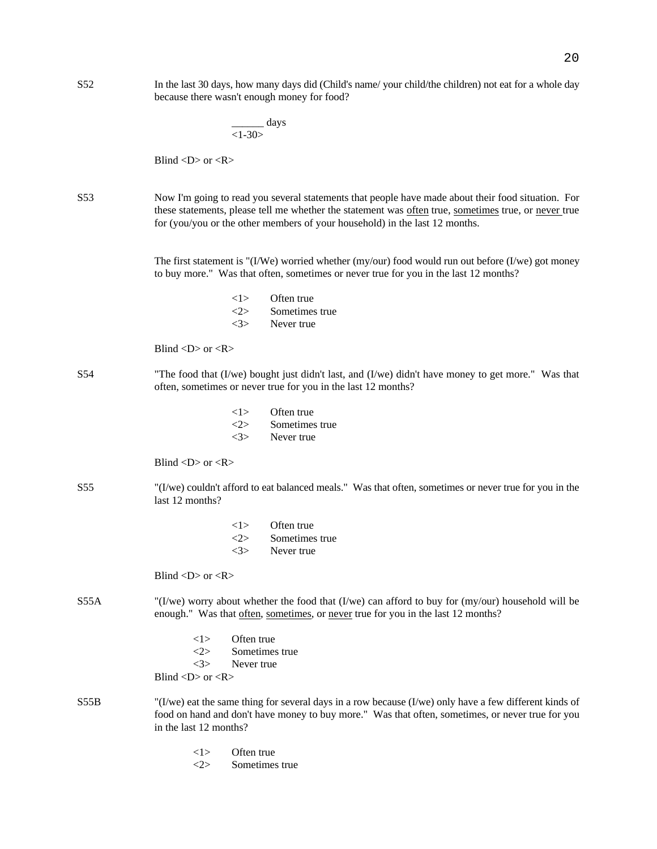|                 | days<br>$<1-30>$                                                                                                                                                                                                                                                                          |
|-----------------|-------------------------------------------------------------------------------------------------------------------------------------------------------------------------------------------------------------------------------------------------------------------------------------------|
|                 | Blind $\langle D \rangle$ or $\langle R \rangle$                                                                                                                                                                                                                                          |
| S <sub>53</sub> | Now I'm going to read you several statements that people have made about their food situation. For<br>these statements, please tell me whether the statement was often true, sometimes true, or never true<br>for (you/you or the other members of your household) in the last 12 months. |
|                 | The first statement is "(I/We) worried whether (my/our) food would run out before (I/we) got money<br>to buy more." Was that often, sometimes or never true for you in the last 12 months?                                                                                                |
|                 | Often true<br><1><br><2><br>Sometimes true<br><3><br>Never true                                                                                                                                                                                                                           |
|                 | Blind $\langle D \rangle$ or $\langle R \rangle$                                                                                                                                                                                                                                          |
| S <sub>54</sub> | "The food that (I/we) bought just didn't last, and (I/we) didn't have money to get more." Was that<br>often, sometimes or never true for you in the last 12 months?                                                                                                                       |
|                 | Often true<br><1><br><2><br>Sometimes true<br><3><br>Never true                                                                                                                                                                                                                           |
|                 | Blind $\langle D \rangle$ or $\langle R \rangle$                                                                                                                                                                                                                                          |
| S <sub>55</sub> | "(I/we) couldn't afford to eat balanced meals." Was that often, sometimes or never true for you in the<br>last 12 months?                                                                                                                                                                 |
|                 | Often true<br><1><br>2><br>Sometimes true<br><3><br>Never true                                                                                                                                                                                                                            |
|                 | Blind $\langle D \rangle$ or $\langle R \rangle$                                                                                                                                                                                                                                          |
| S55A            | "(I/we) worry about whether the food that (I/we) can afford to buy for (my/our) household will be<br>enough." Was that often, sometimes, or never true for you in the last 12 months?                                                                                                     |
|                 | Often true<br><1><br>Sometimes true<br><2><br><3><br>Never true<br>Blind < $D$ > or < $R$ >                                                                                                                                                                                               |
| S55B            | "(I/we) eat the same thing for several days in a row because (I/we) only have a few different kinds of<br>food on hand and don't have money to buy more." Was that often, sometimes, or never true for you<br>in the last 12 months?                                                      |
|                 | Often true<br><1>                                                                                                                                                                                                                                                                         |

S52 In the last 30 days, how many days did (Child's name/ your child/the children) not eat for a whole day

because there wasn't enough money for food?

<2> Sometimes true

20